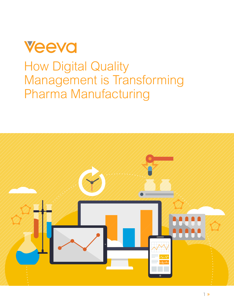<span id="page-0-0"></span>

# How Digital Quality Management is Transforming Pharma Manufacturing

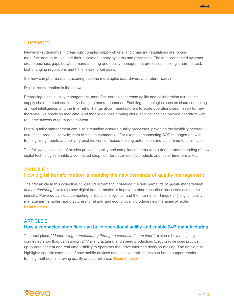## <span id="page-1-0"></span>Foreword

New-market demands, increasingly complex supply chains, and changing regulations are forcing manufacturers to re-evaluate their disjointed legacy systems and processes. These disconnected systems create business gaps between manufacturing and quality management processes, making it hard to track fast-changing regulations and hit time-to-market goals.

So, how can pharma manufacturing become more agile, data-driven, and future-ready?

Digital transformation is the answer.

Embracing digital quality management, manufacturers can increase agility and collaboration across the supply chain to meet continually changing market demands. Enabling technologies such as cloud computing, artificial intelligence, and the Internet of Things allow manufacturers to scale operations seamlessly for new therapies like precision medicine. And mobile devices running cloud applications can provide operators with real-time access to up-to-date content.

Digital quality management can also streamline discrete quality processes, providing the flexibility needed across the product lifecycle, from clinical to commercial. For example, connecting SOP management with training assignments and delivery enables version-based training automation and faster time to qualification.

The following collection of articles provides quality and compliance teams with a deeper understanding of how digital technologies enable a connected shop floor for better quality products and faster time-to-market.

### ARTICLE 1 How digital transformation is meeting the new demands of quality management

The first article in this collection, "*Digital transformation: meeting the new demands of quality management in manufacturing*," explains how digital transformation is improving pharmaceutical processes across the industry. Powered by cloud computing, artificial intelligence, and the Internet of Things (IoT), digital quality management enables manufacturers to reliably and economically produce new therapies at scale. **[Read it here](#page-3-0) ▶** 

#### ARTICLE 2 How a connected shop floor can build operational agility and enable 24/7 manufacturing

The next piece, "*Modernizing manufacturing through a connected shop floor*," explores how a digitally connected shop floor can support 24/7 manufacturing and speed production. Electronic devices provide up-to-date content and real-time visibility to operators that drive informed decision-making. The article also highlights specific examples of how mobile devices and intuitive applications can better support modern training methods, improving quality and compliance. [Read it here](#page-6-0)  $\blacktriangleright$ 

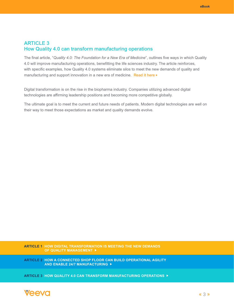### <span id="page-2-0"></span>ARTICLE 3 How Quality 4.0 can transform manufacturing operations

The final article, "*Quality 4.0: The Foundation for a New Era of Medicine*", outlines five ways in which Quality 4.0 will improve manufacturing operations, benefitting the life sciences industry. The article reinforces, with specific examples, how Quality 4.0 systems eliminate silos to meet the new demands of quality and manufacturing and support innovation in a new era of medicine. [Read it here](#page-11-0)  $\blacktriangleright$ 

Digital transformation is on the rise in the biopharma industry. Companies utilizing advanced digital technologies are affirming leadership positions and becoming more competitive globally.

The ultimate goal is to meet the current and future needs of patients. Modern digital technologies are well on their way to meet those expectations as market and quality demands evolve.

**[ARTICLE 1 HOW DIGITAL TRANSFORMATION IS MEETING THE NEW DEMANDS](#page-3-0)  OF QUALITY MANAGEMENT** 

**[ARTICLE 2 HOW A CONNECTED SHOP FLOOR CAN BUILD OPERATIONAL AGILITY](#page-6-0)  AND ENABLE 24/7 MANUFACTURING** 

**[ARTICLE 3 HOW QUALITY 4.0 CAN TRANSFORM MANUFACTURING OPERATIONS](#page-11-0)** 

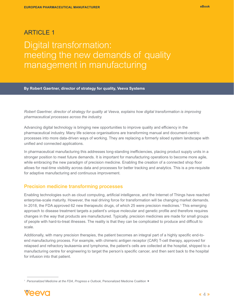## <span id="page-3-0"></span>**ARTICLE 1** Digital transformation: meeting the new demands of quality management in manufacturing

**By Robert Gaertner, director of strategy for quality, Veeva Systems**

*Robert Gaertner, director of strategy for quality at Veeva, explains how digital transformation is improving pharmaceutical processes across the industry.* 

Advancing digital technology is bringing new opportunities to improve quality and efficiency in the pharmaceutical industry. Many life science organisations are transforming manual and document-centric processes into more data-driven ways of working. They are replacing a formerly siloed system landscape with unified and connected applications.

In pharmaceutical manufacturing this addresses long-standing inefficiencies, placing product supply units in a stronger position to meet future demands. It is important for manufacturing operations to become more agile, while embracing the new paradigm of precision medicine. Enabling the creation of a connected shop floor allows for real-time visibility across data and processes for better tracking and analytics. This is a pre-requisite for adaptive manufacturing and continuous improvement.

#### Precision medicine transforming processes

Enabling technologies such as cloud computing, artificial intelligence, and the Internet of Things have reached enterprise-scale maturity. However, the real driving force for transformation will be changing market demands. In 2018, the FDA approved 62 new therapeutic drugs, of which 25 were precision medicines.<sup>1</sup> This emerging approach to disease treatment targets a patient's unique molecular and genetic profile and therefore requires changes in the way that products are manufactured. Typically, precision medicines are made for small groups of people with hard-to-treat illnesses. The reality is that they can be complicated to produce and difficult to scale.

Additionally, with many precision therapies, the patient becomes an integral part of a highly specific end-toend manufacturing process. For example, with chimeric antigen receptor (CAR) T-cell therapy, approved for relapsed and refractory leukaemia and lymphoma, the patient's cells are collected at the hospital, shipped to a manufacturing centre for engineering to target the person's specific cancer, and then sent back to the hospital for infusion into that patient.

<sup>1</sup> *[Personalized Medicine at the FDA, Progress e Outlook,](http://www.personalizedmedicinecoalition.org/Userfiles/PMC-Corporate/file/PM_at_FDA_A_Progress_and_Outlook_Report.pdf)* Personalized Medicine Coalition

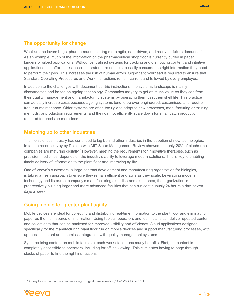### <span id="page-4-0"></span>The opportunity for change

What are the levers to get pharma manufacturing more agile, data-driven, and ready for future demands? As an example, much of the information on the pharmaceutical shop floor is currently buried in paper binders or siloed applications. Without centralised systems for tracking and distributing content and intuitive applications that offer quick access, operators are not able to easily consume the right information they need to perform their jobs. This increases the risk of human errors. Significant overhead is required to ensure that Standard Operating Procedures and Work Instructions remain current and followed by every employee.

In addition to the challenges with document-centric instructions, the systems landscape is mainly disconnected and based on ageing technology. Companies may try to get as much value as they can from their quality management and manufacturing systems by operating them past their shelf life. This practice can actually increase costs because ageing systems tend to be over-engineered, customised, and require frequent maintenance. Older systems are often too rigid to adapt to new processes, manufacturing or training methods, or production requirements, and they cannot efficiently scale down for small batch production required for precision medicines

#### Matching up to other industries

The life sciences industry has continued to lag behind other industries in the adoption of new technologies. In fact, a recent survey by Deloitte with MIT Sloan Management Review showed that only 20% of biopharma companies are maturing digitally.<sup>2</sup> However, meeting the requirements for innovative therapies, such as precision medicines, depends on the industry's ability to leverage modern solutions. This is key to enabling timely delivery of information to the plant floor and improving agility.

One of Veeva's customers, a large contract development and manufacturing organization for biologics, is taking a fresh approach to ensure they remain efficient and agile as they scale. Leveraging modern technology and its parent company's manufacturing expertise and experience, the organization is progressively building larger and more advanced facilities that can run continuously 24 hours a day, seven days a week.

#### Going mobile for greater plant agility

Mobile devices are ideal for collecting and distributing real-time information to the plant floor and eliminating paper as the main source of information. Using tablets, operators and technicians can deliver updated content and collect data that can be analysed for improved visibility and efficiency. Cloud applications designed specifically for the manufacturing plant floor run on mobile devices and support manufacturing processes, with up-to-date content and seamless integration with quality management systems.

Synchronising content on mobile tablets at each work station has many benefits. First, the content is completely accessible to operators, including for offline viewing. This eliminates having to page through stacks of paper to find the right instructions.

<sup>2</sup> ["Survey Finds Biopharma companies lag in digital transformation,"](https://www2.deloitte.com/insights/us/en/industry/life-sciences/digital-transformation-biopharma.html) *Deloitte Oct. 2018*

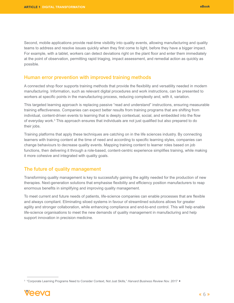<span id="page-5-0"></span>Second, mobile applications provide real-time visibility into quality events, allowing manufacturing and quality teams to address and resolve issues quickly when they first come to light, before they have a bigger impact. For example, with a tablet, workers can detect deviations right on the plant floor and enter them immediately at the point of observation, permitting rapid triaging, impact assessment, and remedial action as quickly as possible.

#### Human error prevention with improved training methods

A connected shop floor supports training methods that provide the flexibility and versatility needed in modern manufacturing. Information, such as relevant digital procedures and work instructions, can be presented to workers at specific points in the manufacturing process, reducing complexity and, with it, variation.

This targeted learning approach is replacing passive "read and understand" instructions, ensuring measurable training effectiveness. Companies can expect better results from training programs that are shifting from individual, content-driven events to learning that is deeply contextual, social, and embedded into the flow of everyday work.<sup>3</sup> This approach ensures that individuals are not just qualified but also prepared to do their jobs.

Training platforms that apply these techniques are catching on in the life sciences industry. By connecting learners with training content at the time of need and according to specific learning styles, companies can change behaviours to decrease quality events. Mapping training content to learner roles based on job functions, then delivering it through a role-based, content-centric experience simplifies training, while making it more cohesive and integrated with quality goals.

#### The future of quality management

Transforming quality management is key to successfully gaining the agility needed for the production of new therapies. Next-generation solutions that emphasise flexibility and efficiency position manufacturers to reap enormous benefits in simplifying and improving quality management.

To meet current and future needs of patients, life-science companies can enable processes that are flexible and always compliant. Eliminating siloed systems in favour of streamlined solutions allows for greater agility and stronger collaboration, while enhancing compliance and end-to-end control. This will help enable life-science organisations to meet the new demands of quality management in manufacturing and help support innovation in precision medicine.

<sup>3</sup> "Corporate Learning Programs Need to Consider Context, Not Just Skills," *Harvard Business Review Nov. 2017* 

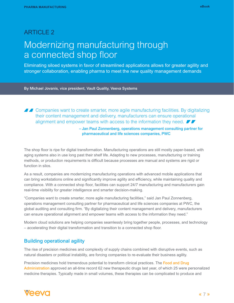## <span id="page-6-0"></span>**ARTICLE 2** Modernizing manufacturing through a connected shop floor

Eliminating siloed systems in favor of streamlined applications allows for greater agility and stronger collaboration, enabling pharma to meet the new quality management demands

By Michael Jovanis, vice president, Vault Quality, Veeva Systems

**A 2** Companies want to create smarter, more agile manufacturing facilities. By digitalizing their content management and delivery, manufacturers can ensure operational alignment and empower teams with access to the information they need.  $\blacksquare$ 

> – Jan Paul Zonnenberg, operations management consulting partner for pharmaceutical and life sciences companies, PWC

The shop floor is ripe for digital transformation. Manufacturing operations are still mostly paper-based, with aging systems also in use long past their shelf life. Adapting to new processes, manufacturing or training methods, or production requirements is difficult because processes are manual and systems are rigid or function in silos.

As a result, companies are modernizing manufacturing operations with advanced mobile applications that can bring workstations online and significantly improve agility and efficiency, while maintaining quality and compliance. With a connected shop floor, facilities can support 24/7 manufacturing and manufacturers gain real-time visibility for greater intelligence and smarter decision-making.

"Companies want to create smarter, more agile manufacturing facilities," said Jan Paul Zonnenberg, operations management consulting partner for pharmaceutical and life sciences companies at PWC, the global auditing and consulting firm. "By digitalizing their content management and delivery, manufacturers can ensure operational alignment and empower teams with access to the information they need."

Modern cloud solutions are helping companies seamlessly bring together people, processes, and technology – accelerating their digital transformation and transition to a connected shop floor.

#### Building operational agility

The rise of precision medicines and complexity of supply chains combined with disruptive events, such as natural disasters or political instability, are forcing companies to re-evaluate their business agility.

Precision medicines hold tremendous potential to transform clinical practices. The Food and Drug [Administration](http://www.personalizedmedicinecoalition.org/Userfiles/PMC-Corporate/file/PM_at_FDA_A_Progress_and_Outlook_Report.pdf) approved an all-time record 62 new therapeutic drugs last year, of which 25 were personalized medicine therapies. Typically made in small volumes, these therapies can be complicated to produce and

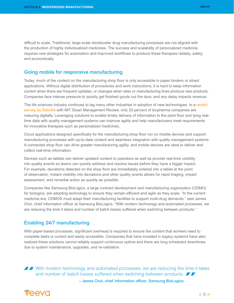<span id="page-7-0"></span>difficult to scale. Traditional, large-scale blockbuster drug manufacturing processes are not aligned with the production of highly individualized medicines. The success and scalability of personalized medicine requires new strategies for automation and improved workflows to produce these therapies reliably, safely, and economically.

#### Going mobile for responsive manufacturing

Today, much of the content on the manufacturing shop floor is only accessible in paper binders or siloed applications. Without digital distribution of procedures and work instructions, it is hard to keep information current when there are frequent updates, or changes when sites or manufacturing lines produce new products. Companies face intense pressure to quickly get finished goods out the door, and any delay impacts revenue.

The life sciences industry continues to lag many other industries in adoption of new technologies. In a recent [survey by Deloitte](https://www2.deloitte.com/us/en/insights/industry/life-sciences/digital-transformation-biopharma.html) with MIT Sloan Management Review, only 20 percent of biopharma companies are maturing digitally. Leveraging solutions to enable timely delivery of information to the plant floor and tying realtime data with quality management systems can improve agility and help manufacturers meet requirements for innovative therapies such as personalized medicines.

Cloud applications designed specifically for the manufacturing shop floor run on mobile devices and support manufacturing processes with up-to-date content and seamless integration with quality management systems. A connected shop floor can drive greater manufacturing agility, and mobile devices are ideal to deliver and collect real-time information.

Devices such as tablets can deliver updated content to operators as well as provide real-time visibility into quality events so teams can quickly address and resolve issues before they have a bigger impact. For example, deviations detected on the shop floor are immediately entered into a tablet at the point of observation. Instant visibility into deviations and other quality events allows for rapid triaging, impact assessment, and remedial action as quickly as possible.

Companies like Samsung BioLogics, a large contract development and manufacturing organization (CDMO) for biologics, are adopting technology to ensure they remain efficient and agile as they scale. "In the current medicine era, CDMOS must adapt their manufacturing facilities to support multi-drug demands," said James Choi, chief information officer at Samsung BioLogics. "With modern technology and automated processes, we are reducing the time it takes and number of batch losses suffered when switching between products."

#### Enabling 24/7 manufacturing

With paper-based processes, significant overhead is required to ensure the content that workers need to complete tasks is current and easily accessible. Companies that have invested in legacy systems have also realized these solutions cannot reliably support continuous uptime and there are long scheduled downtimes due to system maintenance, upgrades, and re-validation.

**A A** With modern technology and automated processes, we are reducing the time it takes and number of batch losses suffered when switching between products. – James Choi, chief information officer, Samsung BioLogics

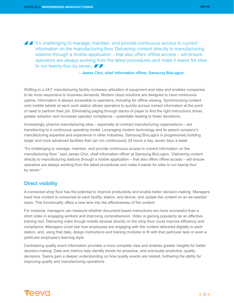<span id="page-8-0"></span>If It's challenging to manage, maintain, and provide continuous access to current information on the manufacturing floor. Delivering content directly to manufacturing stations through a mobile application – that also offers offline access – will ensure operators are always working from the latest procedures and make it easier for sites to run twenty-four by seven.

– James Choi, chief information officer, Samsung BioLogics

Shifting to a 24/7 manufacturing facility increases utilization of equipment and sites and enables companies to be more responsive to business demands. Modern cloud solutions are designed to have continuous uptime. Information is always accessible to operators, including for offline viewing. Synchronizing content onto mobile tablets at each work station allows operators to quickly access correct information at the point of need to perform their job. Eliminating paging through stacks of paper to find the right instructions drives greater adoption and increases operator compliance – potentially leading to fewer deviations.

Increasingly, pharma manufacturing sites – especially at contract manufacturing organizations – are transitioning to a continuous operating model. Leveraging modern technology and its parent company's manufacturing expertise and experience in other industries, Samsung BioLogics is progressively building larger and more advanced facilities that can run continuously 24 hours a day, seven days a week.

"It's challenging to manage, maintain, and provide continuous access to current information on the manufacturing floor," said James Choi, chief information officer at Samsung BioLogics. "Delivering content directly to manufacturing stations through a mobile application – that also offers offline access – will ensure operators are always working from the latest procedures and make it easier for sites to run twenty-four by seven."

#### Direct visibility

A connected shop floor has the potential to improve productivity and enable better decision-making. Managers track how content is consumed at each facility, station, and device, and update the content on an as-needed basis. This functionality offers a new lens into the effectiveness of the content.

For instance, managers can measure whether document-based instructions are more successful than a short video in engaging workers and improving comprehension. Video is gaining popularity as an effective training tool. Delivering video though mobile devices directly on the shop floor could improve efficiency and compliance. Managers could see how employees are engaging with the content delivered digitally to each station, and, using that data, design instructions and training modules to fit with that particular task or even a particular employee's learning style.

Centralizing quality event information provides a more complete view and enables greater insights for better decision-making. Data and metrics help identify trends for proactive, and eventually predictive, quality decisions. Teams gain a deeper understanding on how quality events are related, furthering the ability for improving quality and manufacturing operations.

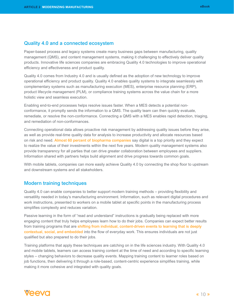#### <span id="page-9-0"></span>Quality 4.0 and a connected ecosystem

Paper-based process and legacy systems create many business gaps between manufacturing, quality management (QMS), and content management systems, making it challenging to effectively deliver quality products. Innovative life sciences companies are embracing Quality 4.0 technologies to improve operational efficiency and effectiveness and product quality.

Quality 4.0 comes from Industry 4.0 and is usually defined as the adoption of new technology to improve operational efficiency and product quality. Quality 4.0 enables quality systems to integrate seamlessly with complementary systems such as manufacturing execution (MES), enterprise resource planning (ERP), product lifecycle management (PLM), or compliance training systems across the value chain for a more holistic view and seamless execution.

Enabling end-to-end processes helps resolve issues faster. When a MES detects a potential nonconformance, it promptly sends the information to a QMS. The quality team can then quickly evaluate, remediate, or resolve the non-conformance. Connecting a QMS with a MES enables rapid detection, triaging, and remediation of non-conformances.

Connecting operational data allows proactive risk management by addressing quality issues before they arise, as well as provide real-time quality data for analysis to increase productivity and allocate resources based on risk and need. [Almost 60 percent of biopharma companies](https://www2.deloitte.com/us/en/insights/industry/life-sciences/digital-transformation-biopharma.html) say digital is a top priority and they expect to realize the value of their investments within the next five years. Modern quality management systems also provide transparency for all parties that can drive greater collaboration between employees and suppliers. Information shared with partners helps build alignment and drive progress towards common goals.

With mobile tablets, companies can more easily achieve Quality 4.0 by connecting the shop floor to upstream and downstream systems and all stakeholders.

#### Modern training techniques

Quality 4.0 can enable companies to better support modern training methods – providing flexibility and versatility needed in today's manufacturing environment. Information, such as relevant digital procedures and work instructions, presented to workers on a mobile tablet at specific points in the manufacturing process simplifies complexity and reduces variation.

Passive learning in the form of "read and understand" instructions is gradually being replaced with more engaging content that truly helps employees learn how to do their jobs. Companies can expect better results from training programs that are shifting from individual, content-driven events to learning that is deeply [contextual, social, and embedded](https://hbr.org/2017/11/corporate-learning-programs-need-to-consider-context-not-just-skills) into the flow of everyday work. This ensures individuals are not just qualified but also prepared to do their jobs.

Training platforms that apply these techniques are catching on in the life sciences industry. With Quality 4.0 and mobile tablets, learners can access training content at the time of need and according to specific learning styles – changing behaviors to decrease quality events. Mapping training content to learner roles based on job functions, then delivering it through a role-based, content-centric experience simplifies training, while making it more cohesive and integrated with quality goals.

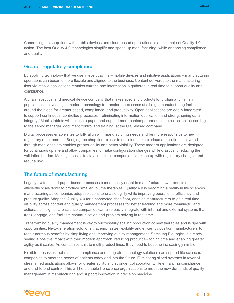<span id="page-10-0"></span>Connecting the shop floor with mobile devices and cloud-based applications is an example of Quality 4.0 in action. The best Quality 4.0 technologies simplify and speed up manufacturing, while enhancing compliance and quality.

#### Greater regulatory compliance

By applying technology that we use in everyday life – mobile devices and intuitive applications – manufacturing operations can become more flexible and aligned to the business. Content delivered to the manufacturing floor via mobile applications remains current, and information is gathered in real-time to support quality and compliance.

A pharmaceutical and medical device company that makes specialty products for civilian and military populations is investing in modern technology to transform processes at all eight manufacturing facilities around the globe for greater speed, compliance, and productivity. Open applications are easily integrated to support continuous, controlled processes – eliminating information duplication and strengthening data integrity. "Mobile tablets will eliminate paper and support more contemporaneous data collection," according to the senior manager, document control and training, at the U.S.-based company.

Digital processes enable sites to fully align with manufacturing needs and be more responsive to new regulatory requirements. Bringing the shop floor closer to decision makers, cloud applications delivered through mobile tablets enables greater agility and better visibility. These modern applications are designed for continuous uptime and allow companies to make configuration changes while drastically reducing the validation burden. Making it easier to stay compliant, companies can keep up with regulatory changes and reduce risk.

#### The future of manufacturing

Legacy systems and paper-based processes cannot easily adapt to manufacture new products or efficiently scale down to produce smaller volume therapies. Quality 4.0 is becoming a reality in life sciences manufacturing as companies adopt solutions to enable agility while improving operational efficiency and product quality. Adopting Quality 4.0 for a connected shop floor, enables manufacturers to gain real-time visibility across content and quality management processes for better tracking and more meaningful and actionable insights. Life science companies can also easily integrate with internal and external systems that track, engage, and facilitate communication and problem-solving in real-time.

Transforming quality management is key to successfully scaling production of new therapies and is ripe with opportunities. Next-generation solutions that emphasize flexibility and efficiency position manufacturers to reap enormous benefits by simplifying and improving quality management. Samsung BioLogics is already seeing a positive impact with their modern approach, reducing product switching time and enabling greater agility as it scales. As companies shift to multi-product lines, they need to become increasingly nimble.

Flexible processes that maintain compliance and integrate technology solutions can support life sciences companies to meet the needs of patients today and into the future. Eliminating siloed systems in favor of streamlined applications allows for greater agility and stronger collaboration while enhancing compliance and end-to-end control. This will help enable life science organizations to meet the new demands of quality management in manufacturing and support innovation in precision medicine.

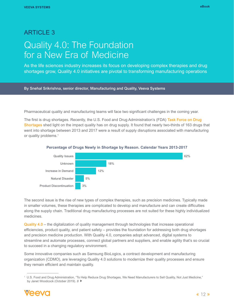## <span id="page-11-0"></span>**ARTICLE 3** Quality 4.0: The Foundation for a New Era of Medicine

As the life sciences industry increases its focus on developing complex therapies and drug shortages grow, Quality 4.0 initiatives are pivotal to transforming manufacturing operations



Pharmaceutical quality and manufacturing teams will face two significant challenges in the coming year.

The first is drug shortages. Recently, the U.S. Food and Drug Administration's (FDA) Task Force on Drug [Shortages](mailto:https://www.fda.gov/drugs/drug-shortages/agency-drug-shortages-task-force?subject=) shed light on the impact quality has on drug supply. It found that nearly two-thirds of 163 drugs that went into shortage between 2013 and 2017 were a result of supply disruptions associated with manufacturing or quality problems.<sup>1</sup>



#### **Percentage of Drugs Newly in Shortage by Reason. Calendar Years 2013-2017**

The second issue is the rise of new types of complex therapies, such as precision medicines. Typically made in smaller volumes, these therapies are complicated to develop and manufacture and can create difficulties along the supply chain. Traditional drug manufacturing processes are not suited for these highly individualized medicines.

[Quality 4.0](mailto:https://qualityandinnovation.com/2018/01/02/what-is-quality-4-0/?subject=) – the digitalization of quality management through technologies that increase operational efficiencies, product quality, and patient safety – provides the foundation for addressing both drug shortages and precision medicine production. With Quality 4.0, companies adopt advanced, digital systems to streamline and automate processes, connect global partners and suppliers, and enable agility that's so crucial to succeed in a changing regulatory environment.

Some innovative companies such as Samsung BioLogics, a contract development and manufacturing organization (CDMO), are leveraging Quality 4.0 solutions to modernize their quality processes and ensure they remain efficient and maintain quality.

<sup>1</sup> U.S. Food and Drug Administration, "To Help Reduce Drug Shortages, We Need Manufacturers to Sell Quality, Not Just Medicine," by Janet Woodcock (October 2019). *[8](https://www.fda.gov/news-events/fda-voices/help-reduce-drug-shortages-we-need-manufacturers-sell-quality-not-just-medicine)*

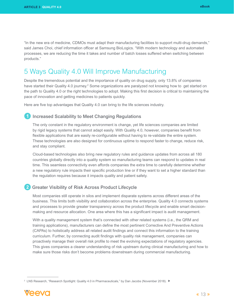<span id="page-12-0"></span>"In the new era of medicine, CDMOs must adapt their manufacturing facilities to support multi-drug demands," said James Choi, chief information officer at Samsung BioLogics. "With modern technology and automated processes, we are reducing the time it takes and number of batch losses suffered when switching between products."

## 5 Ways Quality 4.0 Will Improve Manufacturing

Despite the tremendous potential and the importance of quality on drug supply, only 13.8% of companies have started their Quality 4.0 journey.<sup>2</sup> Some organizations are paralyzed not knowing how to get started on the path to Quality 4.0 or the right technologies to adopt. Making this first decision is critical to maintaining the pace of innovation and getting medicines to patients quickly.

Here are five top advantages that Quality 4.0 can bring to the life sciences industry.

#### Increased Scalability to Meet Changing Regulations

The only constant in the regulatory environment is change, yet life sciences companies are limited by rigid legacy systems that cannot adapt easily. With Quality 4.0, however, companies benefit from flexible applications that are easily re-configurable without having to re-validate the entire system. These technologies are also designed for continuous uptime to respond faster to change, reduce risk, and stay compliant.

Cloud-based technologies also bring new regulatory rules and guidance updates from across all 180 countries globally directly into a quality system so manufacturing teams can respond to updates in real time. This seamless connectivity even affords companies the extra time to carefully determine whether a new regulatory rule impacts their specific production line or if they want to set a higher standard than the regulation requires because it impacts quality and patient safety.

#### 2 Greater Visibility of Risk Across Product Lifecycle

Most companies still operate in silos and implement disparate systems across different areas of the business. This limits both visibility and collaboration across the enterprise. Quality 4.0 connects systems and processes to provide greater transparency across the product lifecycle and enable smart decisionmaking and resource allocation. One area where this has a significant impact is audit management.

With a quality management system that's connected with other related systems (i.e., the QRM and training applications), manufacturers can define the most pertinent Corrective And Preventive Actions (CAPAs) to holistically address all related audit findings and connect this information to the training curriculum. Further, by connecting audit findings with quality risk management, companies can proactively manage their overall risk profile to meet the evolving expectations of regulatory agencies. This gives companies a clearer understanding of risk upstream during clinical manufacturing and how to make sure those risks don't become problems downstream during commercial manufacturing.

<sup>2</sup> LNS Research, "Research Spotlight: Quality 4.0 in Pharmaceuticals," by Dan Jacobs (November 2018).

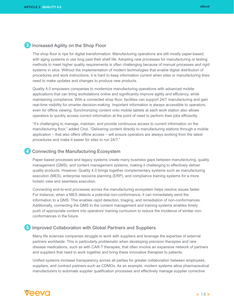#### <span id="page-13-0"></span>**3** Increased Agility on the Shop Floor

The shop floor is ripe for digital transformation. Manufacturing operations are still mostly paper-based, with aging systems in use long past their shelf life. Adopting new processes for manufacturing or testing methods to meet higher quality requirements is often challenging because of manual processes and rigid systems in silos. Without the implementation of modern technologies that enable digital distribution of procedures and work instructions, it is hard to keep information current when sites or manufacturing lines need to make updates and changes to produce new products.

Quality 4.0 empowers companies to modernize manufacturing operations with advanced mobile applications that can bring workstations online and significantly improve agility and efficiency, while maintaining compliance. With a connected shop floor, facilities can support 24/7 manufacturing and gain real-time visibility for smarter decision-making. Important information is always accessible to operators, even for offline viewing. Synchronizing content onto mobile tablets at each work station also allows operators to quickly access correct information at the point of need to perform their jobs efficiently.

"It's challenging to manage, maintain, and provide continuous access to current information on the manufacturing floor," added Choi. "Delivering content directly to manufacturing stations through a mobile application – that also offers offline access – will ensure operators are always working from the latest procedures and make it easier for sites to run 24/7."

#### 4 Connecting the Manufacturing Ecosystem

Paper-based processes and legacy systems create many business gaps between manufacturing, quality management (QMS), and content management systems, making it challenging to effectively deliver quality products. However, Quality 4.0 brings together complementary systems such as manufacturing execution (MES), enterprise resource planning (ERP), and compliance training systems for a more holistic view and seamless execution.

Connecting end-to-end processes across the manufacturing ecosystem helps resolve issues faster. For instance, when a MES detects a potential non-conformance, it can immediately send the information to a QMS. This enables rapid detection, triaging, and remediation of non-conformances. Additionally, connecting the QMS to the content management and training systems enables timely push of appropriate content into operators' training curriculum to reduce the incidence of similar nonconformances in the future.

#### 5 Improved Collaboration with Global Partners and Suppliers

Many life sciences companies struggle to work with suppliers and leverage the expertise of external partners worldwide. This is particularly problematic when developing precision therapies and rare disease medications, such as with CAR-T therapies, that often involve an expansive network of partners and suppliers that need to work together and bring these innovative therapies to patients.

Unified systems increase transparency across all parties for greater collaboration between employees, suppliers, and contract partners such as CDMOs. As an example, modern systems allow pharmaceutical manufacturers to automate supplier qualification processes and effectively manage supplier corrective